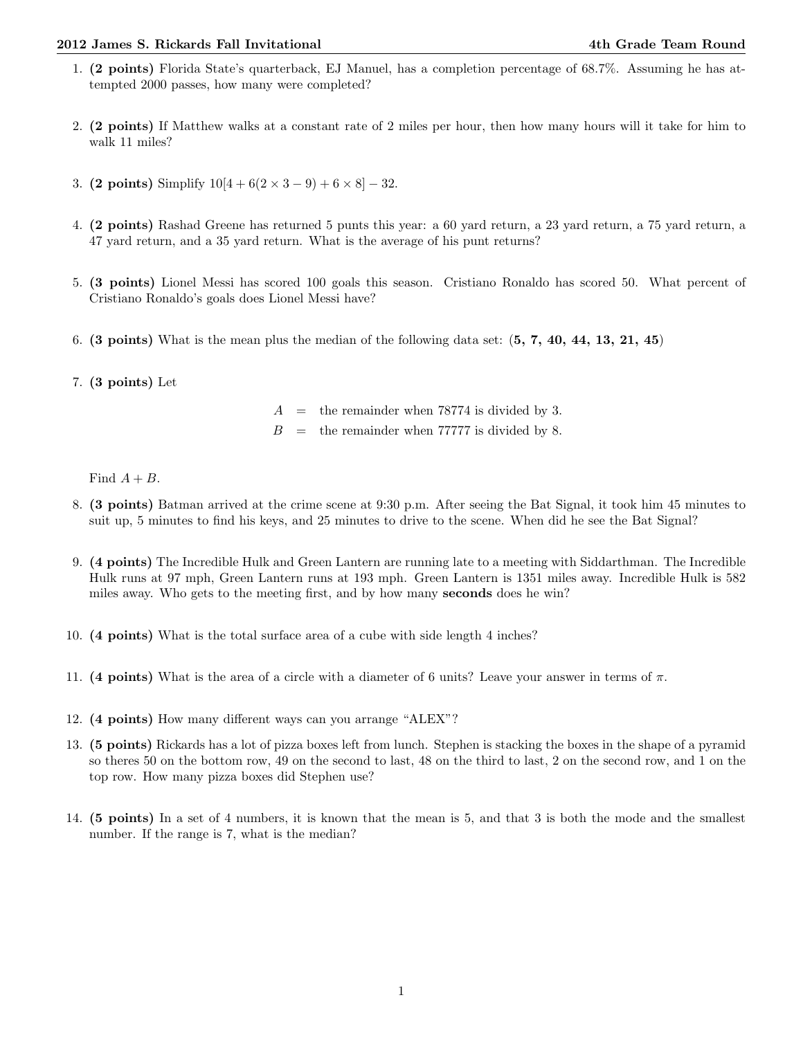## 2012 James S. Rickards Fall Invitational 4th Grade Team Round

- 1. (2 points) Florida State's quarterback, EJ Manuel, has a completion percentage of 68.7%. Assuming he has attempted 2000 passes, how many were completed?
- 2. (2 points) If Matthew walks at a constant rate of 2 miles per hour, then how many hours will it take for him to walk 11 miles?
- 3. (2 points) Simplify  $10[4 + 6(2 \times 3 9) + 6 \times 8] 32$ .
- 4. (2 points) Rashad Greene has returned 5 punts this year: a 60 yard return, a 23 yard return, a 75 yard return, a 47 yard return, and a 35 yard return. What is the average of his punt returns?
- 5. (3 points) Lionel Messi has scored 100 goals this season. Cristiano Ronaldo has scored 50. What percent of Cristiano Ronaldo's goals does Lionel Messi have?
- 6. (3 points) What is the mean plus the median of the following data set:  $(5, 7, 40, 44, 13, 21, 45)$
- 7. (3 points) Let

 $A =$  the remainder when 78774 is divided by 3.

 $B =$  the remainder when 77777 is divided by 8.

Find  $A + B$ .

- 8. (3 points) Batman arrived at the crime scene at 9:30 p.m. After seeing the Bat Signal, it took him 45 minutes to suit up, 5 minutes to find his keys, and 25 minutes to drive to the scene. When did he see the Bat Signal?
- 9. (4 points) The Incredible Hulk and Green Lantern are running late to a meeting with Siddarthman. The Incredible Hulk runs at 97 mph, Green Lantern runs at 193 mph. Green Lantern is 1351 miles away. Incredible Hulk is 582 miles away. Who gets to the meeting first, and by how many seconds does he win?
- 10. (4 points) What is the total surface area of a cube with side length 4 inches?
- 11. (4 points) What is the area of a circle with a diameter of 6 units? Leave your answer in terms of  $\pi$ .
- 12. (4 points) How many different ways can you arrange "ALEX"?
- 13. (5 points) Rickards has a lot of pizza boxes left from lunch. Stephen is stacking the boxes in the shape of a pyramid so theres 50 on the bottom row, 49 on the second to last, 48 on the third to last, 2 on the second row, and 1 on the top row. How many pizza boxes did Stephen use?
- 14. (5 points) In a set of 4 numbers, it is known that the mean is 5, and that 3 is both the mode and the smallest number. If the range is 7, what is the median?